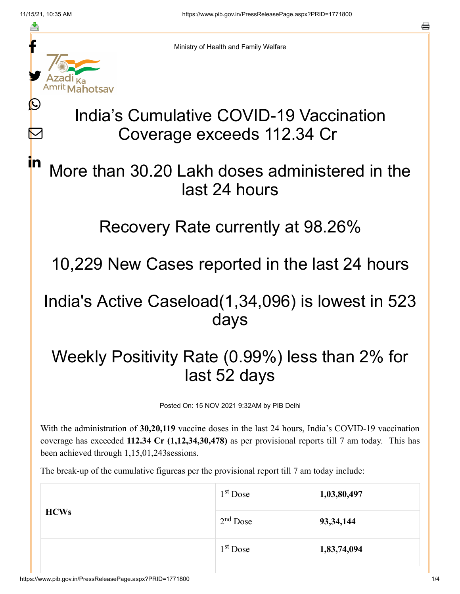≛

Ŀ

 $\bm{\nabla}$ 

in

Ministry of Health and Family Welfare

# India's Cumulative COVID-19 Vaccination Coverage exceeds 112.34 Cr

### More than 30.20 Lakh doses administered in the last 24 hours

#### Recovery Rate currently at 98.26%

10,229 New Cases reported in the last 24 hours

#### India's Active Caseload(1,34,096) is lowest in 523 days

## Weekly Positivity Rate (0.99%) less than 2% for last 52 days

Posted On: 15 NOV 2021 9:32AM by PIB Delhi

With the administration of **30,20,119** vaccine doses in the last 24 hours, India's COVID-19 vaccination coverage has exceeded **112.34 Cr (1,12,34,30,478)** as per provisional reports till 7 am today. This has been achieved through 1,15,01,243sessions.

The break-up of the cumulative figureas per the provisional report till 7 am today include:

| $1st$ Dose | 1,03,80,497 |
|------------|-------------|
| $2nd$ Dose | 93, 34, 144 |
| $1st$ Dose | 1,83,74,094 |
|            |             |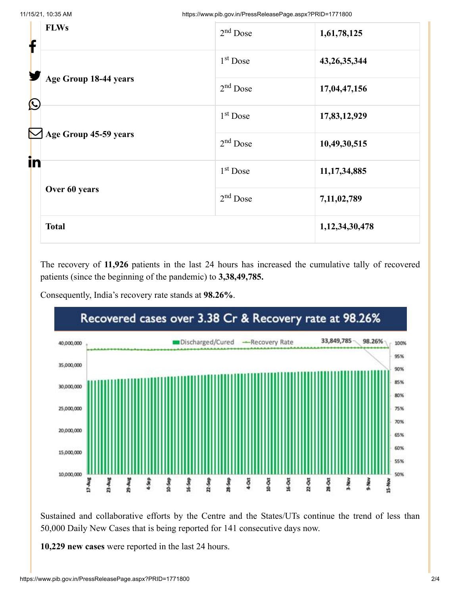| ┢                     | <b>FLWs</b>                            | $2nd$ Dose           | 1,61,78,125     |
|-----------------------|----------------------------------------|----------------------|-----------------|
|                       |                                        | 1 <sup>st</sup> Dose | 43, 26, 35, 344 |
| $\bigcirc$            | Age Group 18-44 years                  | $2nd$ Dose           | 17,04,47,156    |
|                       |                                        | $1st$ Dose           | 17,83,12,929    |
| $\boldsymbol{\nabla}$ | Age Group 45-59 years<br>Over 60 years | $2nd$ Dose           | 10,49,30,515    |
| in                    |                                        | $1st$ Dose           | 11, 17, 34, 885 |
|                       |                                        | $2nd$ Dose           | 7,11,02,789     |
|                       | <b>Total</b>                           |                      | 1,12,34,30,478  |

The recovery of **11,926** patients in the last 24 hours has increased the cumulative tally of recovered patients (since the beginning of the pandemic) to **3,38,49,785.**

Consequently, India's recovery rate stands at **98.26%**.



Sustained and collaborative efforts by the Centre and the States/UTs continue the trend of less than 50,000 Daily New Cases that is being reported for 141 consecutive days now.

**10,229 new cases** were reported in the last 24 hours.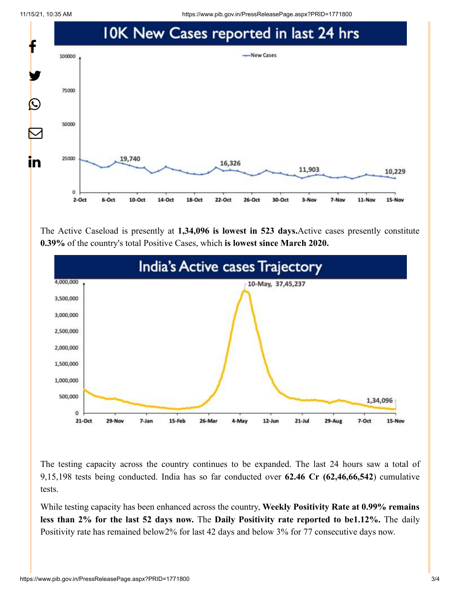11/15/21, 10:35 AM https://www.pib.gov.in/PressReleasePage.aspx?PRID=1771800



The Active Caseload is presently at **1,34,096 is lowest in 523 days.**Active cases presently constitute **0.39%** of the country's total Positive Cases, which **is lowest since March 2020.**



The testing capacity across the country continues to be expanded. The last 24 hours saw a total of 9,15,198 tests being conducted. India has so far conducted over **62.46 Cr (62,46,66,542**) cumulative tests.

While testing capacity has been enhanced across the country, **Weekly Positivity Rate at 0.99% remains less than 2% for the last 52 days now.** The **Daily Positivity rate reported to be1.12%.** The daily Positivity rate has remained below2% for last 42 days and below 3% for 77 consecutive days now.